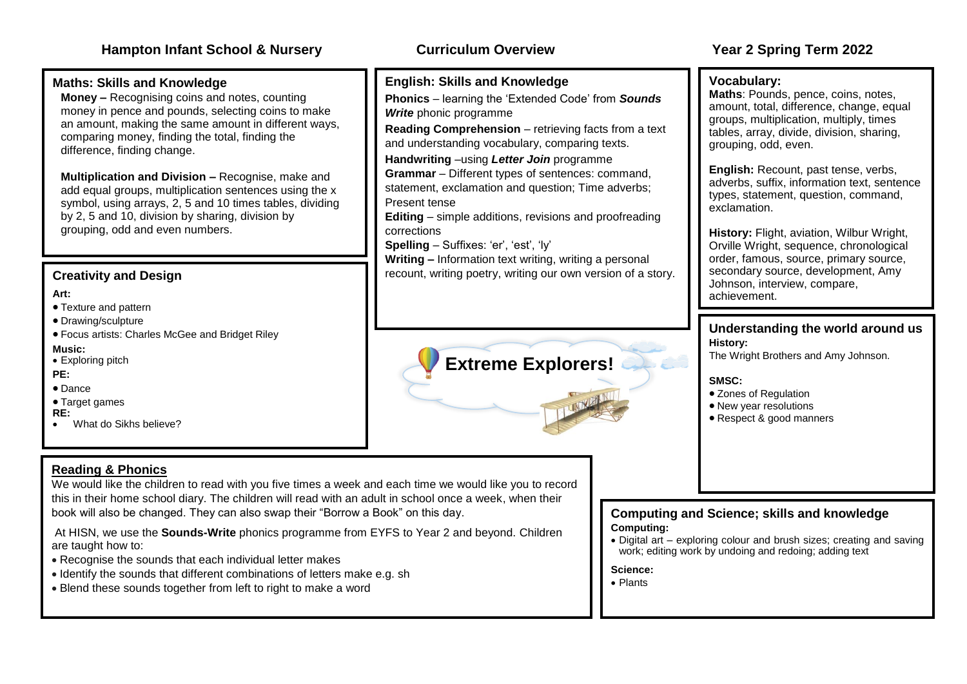#### **Maths: Skills and Knowledge**

**Money –** Recognising coins and notes, counting money in pence and pounds, selecting coins to make an amount, making the same amount in different ways, comparing money, finding the total, finding the difference, finding change.

**Multiplication and Division –** Recognise, make and add equal groups, multiplication sentences using the x symbol, using arrays, 2, 5 and 10 times tables, dividing by 2, 5 and 10, division by sharing, division by grouping, odd and even numbers.

#### **Creativity and Design**

#### **Art:**

- Texture and pattern
- Drawing/sculpture
- Focus artists: Charles McGee and Bridget Riley

#### **Music:**

• Exploring pitch

#### **PE:**

- Dance
- Target games

#### **RE:**

• What do Sikhs believe?

#### **Reading & Phonics**

We would like the children to read with you five times a week and each time we would like you to record this in their home school diary. The children will read with an adult in school once a week, when their book will also be changed. They can also swap their "Borrow a Book" on this day.

At HISN, we use the **Sounds-Write** phonics programme from EYFS to Year 2 and beyond. Children are taught how to:

- Recognise the sounds that each individual letter makes
- Identify the sounds that different combinations of letters make e.g. sh
- Blend these sounds together from left to right to make a word

#### **English: Skills and Knowledge**

• **Phonics** – learning the 'Extended Code' from *Sounds Write* phonic programme

**Reading Comprehension** – retrieving facts from a text and understanding vocabulary, comparing texts.

• **Handwriting** –using *Letter Join* programme

**Grammar** – Different types of sentences: command, statement, exclamation and question; Time adverbs; Present tense

**Editing** – simple additions, revisions and proofreading corrections

**Spelling** – Suffixes: 'er', 'est', 'ly'

**Writing –** Information text writing, writing a personal recount, writing poetry, writing our own version of a story.

# **Extreme Explorers!**

#### **Vocabulary:**

**Maths**: Pounds, pence, coins, notes, amount, total, difference, change, equal groups, multiplication, multiply, times tables, array, divide, division, sharing, grouping, odd, even.

**English:** Recount, past tense, verbs, adverbs, suffix, information text, sentence types, statement, question, command, exclamation.

**History: Flight, aviation, Wilbur Wright,** Orville Wright, sequence, chronological order, famous, source, primary source, secondary source, development, Amy Johnson, interview, compare, achievement.

#### **Understanding the world around us History:**

The Wright Brothers and Amy Johnson.

#### **SMSC:**

- Zones of Regulation
- New year resolutions
- Respect & good manners

**Computing and Science; skills and knowledge Computing:**

• Digital art – exploring colour and brush sizes; creating and saving work; editing work by undoing and redoing; adding text

#### **Science:**

• Plants